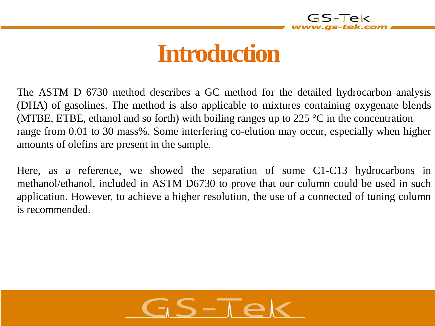

### **Introduction**

The ASTM D 6730 method describes a GC method for the detailed hydrocarbon analysis (DHA) of gasolines. The method is also applicable to mixtures containing oxygenate blends (MTBE, ETBE, ethanol and so forth) with boiling ranges up to 225  $\degree$ C in the concentration range from 0.01 to 30 mass%. Some interfering co-elution may occur, especially when higher amounts of olefins are present in the sample.

Here, as a reference, we showed the separation of some C1-C13 hydrocarbons in methanol/ethanol, included in ASTM D6730 to prove that our column could be used in such application. However, to achieve a higher resolution, the use of a connected of tuning column is recommended.

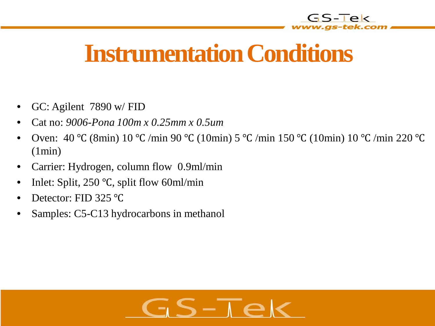

# **Instrumentation Conditions**

- GC: Agilent 7890 w/ FID
- Cat no: *9006-Pona 100m x 0.25mm x 0.5um*
- Oven: 40 ℃ (8min) 10 ℃ /min 90 ℃ (10min) 5 ℃ /min 150 ℃ (10min) 10 ℃ /min 220 ℃ (1min)
- Carrier: Hydrogen, column flow 0.9ml/min
- Inlet: Split, 250 ℃, split flow 60ml/min
- Detector: FID 325 ℃
- Samples: C5-C13 hydrocarbons in methanol

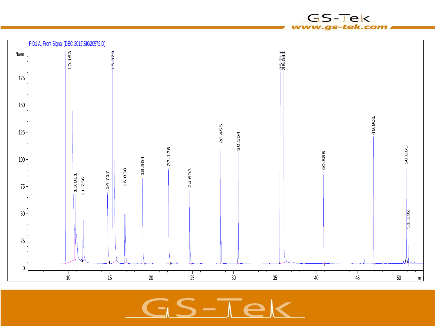

 $\overline{\mathbf{S}} - \overline{\mathbf{I}} \mathbf{e}$ €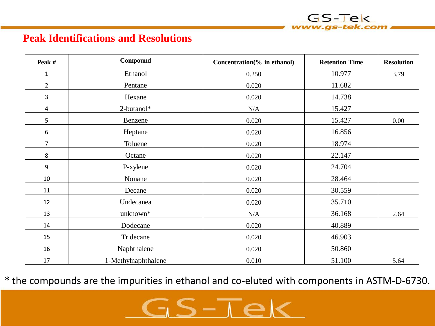#### **Peak Identifications and Resolutions**

| Peak #         | Compound            | Concentration(% in ethanol) | <b>Retention Time</b> | <b>Resolution</b> |
|----------------|---------------------|-----------------------------|-----------------------|-------------------|
| $\mathbf{1}$   | Ethanol             | 0.250                       | 10.977                | 3.79              |
| $\overline{2}$ | Pentane             | 0.020                       | 11.682                |                   |
| 3              | Hexane              | 0.020                       | 14.738                |                   |
| 4              | 2-butanol*          | N/A                         | 15.427                |                   |
| 5              | Benzene             | 0.020                       | 15.427                | 0.00              |
| 6              | Heptane             | 0.020                       | 16.856                |                   |
| $\overline{7}$ | Toluene             | 0.020                       | 18.974                |                   |
| 8              | Octane              | 0.020                       | 22.147                |                   |
| 9              | P-xylene            | 0.020                       | 24.704                |                   |
| 10             | Nonane              | 0.020                       | 28.464                |                   |
| 11             | Decane              | 0.020                       | 30.559                |                   |
| 12             | Undecanea           | 0.020                       | 35.710                |                   |
| 13             | unknown*            | N/A                         | 36.168                | 2.64              |
| 14             | Dodecane            | 0.020                       | 40.889                |                   |
| 15             | Tridecane           | 0.020                       | 46.903                |                   |
| 16             | Naphthalene         | 0.020                       | 50.860                |                   |
| 17             | 1-Methylnaphthalene | 0.010                       | 51.100                | 5.64              |

 $GS-TeV$ 

\* the compounds are the impurities in ethanol and co-eluted with components in ASTM-D-6730.

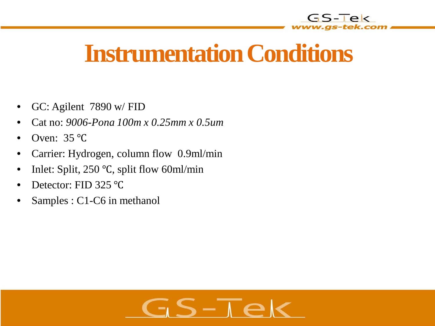

# **Instrumentation Conditions**

- GC: Agilent 7890 w/ FID
- Cat no: *9006-Pona 100m x 0.25mm x 0.5um*
- Oven: 35 ℃
- Carrier: Hydrogen, column flow 0.9ml/min
- Inlet: Split, 250 °C, split flow 60ml/min
- Detector: FID 325 ℃
- Samples : C1-C6 in methanol

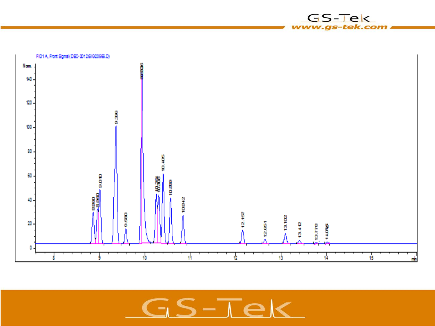

GS-Tek www.gs-tek.com

 $5-\overline{16}$ ⊂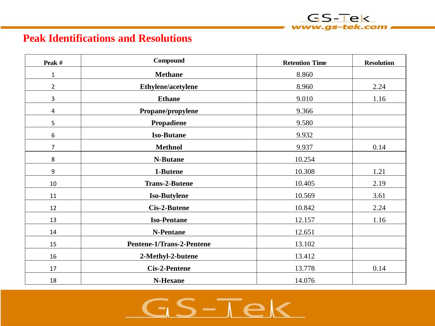#### **Peak Identifications and Resolutions**

| Peak #         | Compound                  | <b>Retention Time</b> | <b>Resolution</b> |
|----------------|---------------------------|-----------------------|-------------------|
| $\mathbf{1}$   | <b>Methane</b>            | 8.860                 |                   |
| $\overline{2}$ | Ethylene/acetylene        | 8.960                 | 2.24              |
| 3              | <b>Ethane</b>             | 9.010                 | 1.16              |
| 4              | Propane/propylene         | 9.366                 |                   |
| 5              | Propadiene                | 9.580                 |                   |
| 6              | <b>Iso-Butane</b>         | 9.932                 |                   |
| $\overline{7}$ | <b>Methnol</b>            | 9.937                 | 0.14              |
| 8              | <b>N-Butane</b>           | 10.254                |                   |
| 9              | 1-Butene                  | 10.308                | 1.21              |
| $10\,$         | <b>Trans-2-Butene</b>     | 10.405                | 2.19              |
| 11             | <b>Iso-Butylene</b>       | 10.569                | 3.61              |
| 12             | Cis-2-Butene              | 10.842                | 2.24              |
| 13             | <b>Iso-Pentane</b>        | 12.157                | 1.16              |
| 14             | N-Pentane                 | 12.651                |                   |
| 15             | Pentene-1/Trans-2-Pentene | 13.102                |                   |
| 16             | 2-Methyl-2-butene         | 13.412                |                   |
| 17             | <b>Cis-2-Pentene</b>      | 13.778                | 0.14              |
| 18             | N-Hexane                  | 14.076                |                   |

GS-Tek www.gs-tek.com

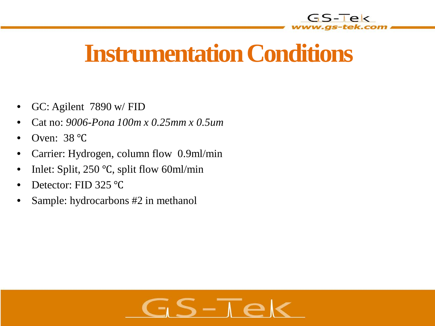

# **Instrumentation Conditions**

- GC: Agilent 7890 w/ FID
- Cat no: *9006-Pona 100m x 0.25mm x 0.5um*
- Oven: 38 ℃
- Carrier: Hydrogen, column flow 0.9ml/min
- Inlet: Split, 250 °C, split flow 60ml/min
- Detector: FID 325 ℃
- Sample: hydrocarbons #2 in methanol

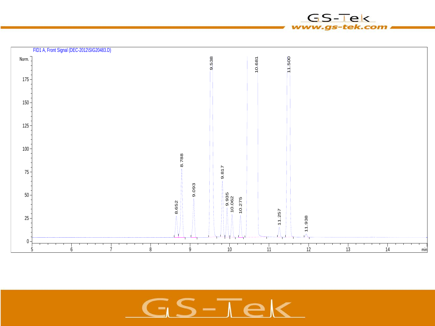

GS-Tek www.gs-tek.com

 $S-\overline{1}\epsilon$ C